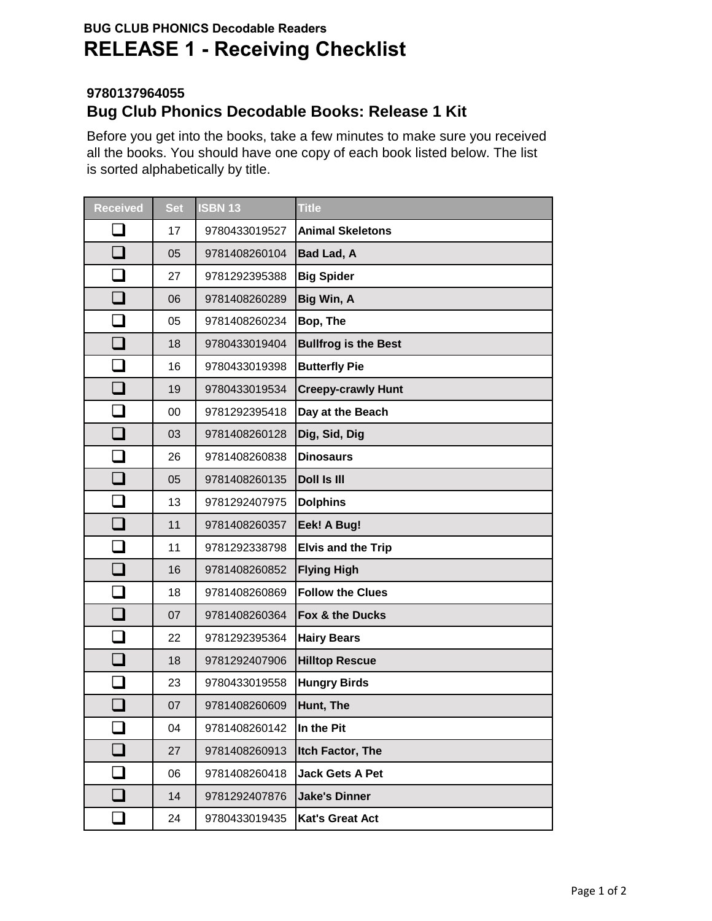## **BUG CLUB PHONICS Decodable Readers RELEASE 1 - Receiving Checklist**

## **9780137964055 Bug Club Phonics Decodable Books: Release 1 Kit**

Before you get into the books, take a few minutes to make sure you received all the books. You should have one copy of each book listed below. The list is sorted alphabetically by title.

| <b>Received</b> | <b>Set</b> | <b>ISBN 13</b> | <b>Title</b>                |
|-----------------|------------|----------------|-----------------------------|
|                 | 17         | 9780433019527  | <b>Animal Skeletons</b>     |
|                 | 05         | 9781408260104  | Bad Lad, A                  |
|                 | 27         | 9781292395388  | <b>Big Spider</b>           |
|                 | 06         | 9781408260289  | Big Win, A                  |
|                 | 05         | 9781408260234  | Bop, The                    |
| $\Box$          | 18         | 9780433019404  | <b>Bullfrog is the Best</b> |
|                 | 16         | 9780433019398  | <b>Butterfly Pie</b>        |
|                 | 19         | 9780433019534  | <b>Creepy-crawly Hunt</b>   |
| $\Box$          | 00         | 9781292395418  | Day at the Beach            |
| $\Box$          | 03         | 9781408260128  | Dig, Sid, Dig               |
|                 | 26         | 9781408260838  | <b>Dinosaurs</b>            |
| $\Box$          | 05         | 9781408260135  | <b>Doll Is III</b>          |
| $\Box$          | 13         | 9781292407975  | <b>Dolphins</b>             |
|                 | 11         | 9781408260357  | Eek! A Bug!                 |
|                 | 11         | 9781292338798  | <b>Elvis and the Trip</b>   |
| $\Box$          | 16         | 9781408260852  | <b>Flying High</b>          |
|                 | 18         | 9781408260869  | <b>Follow the Clues</b>     |
| $\Box$          | 07         | 9781408260364  | Fox & the Ducks             |
|                 | 22         | 9781292395364  | <b>Hairy Bears</b>          |
|                 | 18         | 9781292407906  | <b>Hilltop Rescue</b>       |
|                 | 23         | 9780433019558  | <b>Hungry Birds</b>         |
|                 | 07         | 9781408260609  | Hunt, The                   |
|                 | 04         | 9781408260142  | In the Pit                  |
| $\Box$          | 27         | 9781408260913  | Itch Factor, The            |
| ப               | 06         | 9781408260418  | <b>Jack Gets A Pet</b>      |
|                 | 14         | 9781292407876  | <b>Jake's Dinner</b>        |
|                 | 24         | 9780433019435  | Kat's Great Act             |